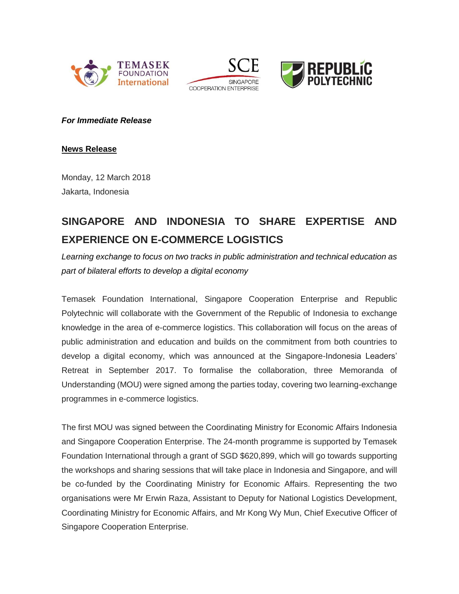





*For Immediate Release*

**News Release**

Monday, 12 March 2018 Jakarta, Indonesia

# **SINGAPORE AND INDONESIA TO SHARE EXPERTISE AND EXPERIENCE ON E-COMMERCE LOGISTICS**

*Learning exchange to focus on two tracks in public administration and technical education as part of bilateral efforts to develop a digital economy*

Temasek Foundation International, Singapore Cooperation Enterprise and Republic Polytechnic will collaborate with the Government of the Republic of Indonesia to exchange knowledge in the area of e-commerce logistics. This collaboration will focus on the areas of public administration and education and builds on the commitment from both countries to develop a digital economy, which was announced at the Singapore-Indonesia Leaders' Retreat in September 2017. To formalise the collaboration, three Memoranda of Understanding (MOU) were signed among the parties today, covering two learning-exchange programmes in e-commerce logistics.

The first MOU was signed between the Coordinating Ministry for Economic Affairs Indonesia and Singapore Cooperation Enterprise. The 24-month programme is supported by Temasek Foundation International through a grant of SGD \$620,899, which will go towards supporting the workshops and sharing sessions that will take place in Indonesia and Singapore, and will be co-funded by the Coordinating Ministry for Economic Affairs. Representing the two organisations were Mr Erwin Raza, Assistant to Deputy for National Logistics Development, Coordinating Ministry for Economic Affairs, and Mr Kong Wy Mun, Chief Executive Officer of Singapore Cooperation Enterprise.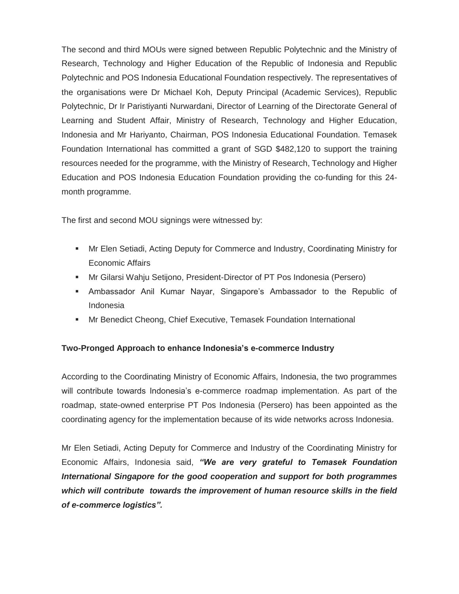The second and third MOUs were signed between Republic Polytechnic and the Ministry of Research, Technology and Higher Education of the Republic of Indonesia and Republic Polytechnic and POS Indonesia Educational Foundation respectively. The representatives of the organisations were Dr Michael Koh, Deputy Principal (Academic Services), Republic Polytechnic, Dr Ir Paristiyanti Nurwardani, Director of Learning of the Directorate General of Learning and Student Affair, Ministry of Research, Technology and Higher Education, Indonesia and Mr Hariyanto, Chairman, POS Indonesia Educational Foundation. Temasek Foundation International has committed a grant of SGD \$482,120 to support the training resources needed for the programme, with the Ministry of Research, Technology and Higher Education and POS Indonesia Education Foundation providing the co-funding for this 24 month programme.

The first and second MOU signings were witnessed by:

- Mr Elen Setiadi, Acting Deputy for Commerce and Industry, Coordinating Ministry for Economic Affairs
- Mr Gilarsi Wahju Setijono, President-Director of PT Pos Indonesia (Persero)
- Ambassador Anil Kumar Nayar, Singapore's Ambassador to the Republic of Indonesia
- **Mr Benedict Cheong, Chief Executive, Temasek Foundation International**

# **Two-Pronged Approach to enhance Indonesia's e-commerce Industry**

According to the Coordinating Ministry of Economic Affairs, Indonesia, the two programmes will contribute towards Indonesia's e-commerce roadmap implementation. As part of the roadmap, state-owned enterprise PT Pos Indonesia (Persero) has been appointed as the coordinating agency for the implementation because of its wide networks across Indonesia.

Mr Elen Setiadi, Acting Deputy for Commerce and Industry of the Coordinating Ministry for Economic Affairs, Indonesia said, *"We are very grateful to Temasek Foundation International Singapore for the good cooperation and support for both programmes which will contribute towards the improvement of human resource skills in the field of e-commerce logistics".*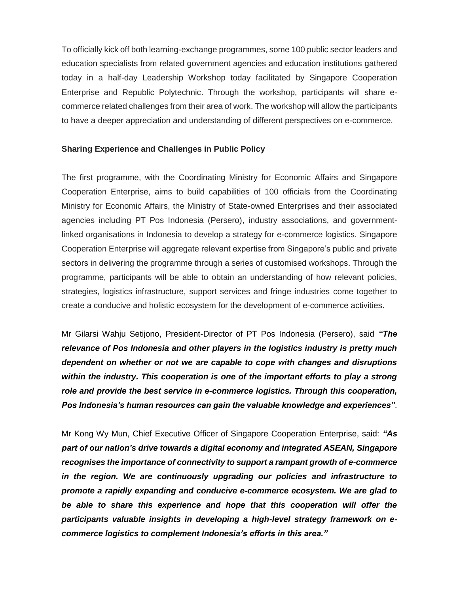To officially kick off both learning-exchange programmes, some 100 public sector leaders and education specialists from related government agencies and education institutions gathered today in a half-day Leadership Workshop today facilitated by Singapore Cooperation Enterprise and Republic Polytechnic. Through the workshop, participants will share ecommerce related challenges from their area of work. The workshop will allow the participants to have a deeper appreciation and understanding of different perspectives on e-commerce.

## **Sharing Experience and Challenges in Public Policy**

The first programme, with the Coordinating Ministry for Economic Affairs and Singapore Cooperation Enterprise, aims to build capabilities of 100 officials from the Coordinating Ministry for Economic Affairs, the Ministry of State-owned Enterprises and their associated agencies including PT Pos Indonesia (Persero), industry associations, and governmentlinked organisations in Indonesia to develop a strategy for e-commerce logistics. Singapore Cooperation Enterprise will aggregate relevant expertise from Singapore's public and private sectors in delivering the programme through a series of customised workshops. Through the programme, participants will be able to obtain an understanding of how relevant policies, strategies, logistics infrastructure, support services and fringe industries come together to create a conducive and holistic ecosystem for the development of e-commerce activities.

Mr Gilarsi Wahju Setijono, President-Director of PT Pos Indonesia (Persero), said *"The relevance of Pos Indonesia and other players in the logistics industry is pretty much dependent on whether or not we are capable to cope with changes and disruptions within the industry. This cooperation is one of the important efforts to play a strong role and provide the best service in e-commerce logistics. Through this cooperation, Pos Indonesia's human resources can gain the valuable knowledge and experiences"*.

Mr Kong Wy Mun, Chief Executive Officer of Singapore Cooperation Enterprise, said: *"As part of our nation's drive towards a digital economy and integrated ASEAN, Singapore recognises the importance of connectivity to support a rampant growth of e-commerce in the region. We are continuously upgrading our policies and infrastructure to promote a rapidly expanding and conducive e-commerce ecosystem. We are glad to be able to share this experience and hope that this cooperation will offer the participants valuable insights in developing a high-level strategy framework on ecommerce logistics to complement Indonesia's efforts in this area."*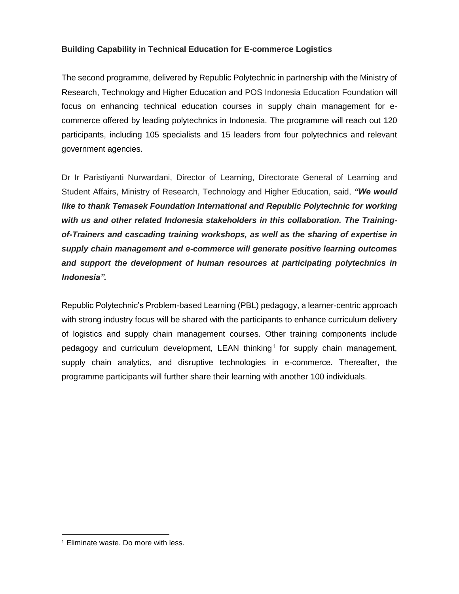# **Building Capability in Technical Education for E-commerce Logistics**

The second programme, delivered by Republic Polytechnic in partnership with the Ministry of Research, Technology and Higher Education and POS Indonesia Education Foundation will focus on enhancing technical education courses in supply chain management for ecommerce offered by leading polytechnics in Indonesia. The programme will reach out 120 participants, including 105 specialists and 15 leaders from four polytechnics and relevant government agencies.

Dr Ir Paristiyanti Nurwardani, Director of Learning, Directorate General of Learning and Student Affairs, Ministry of Research, Technology and Higher Education, said, *"We would like to thank Temasek Foundation International and Republic Polytechnic for working with us and other related Indonesia stakeholders in this collaboration. The Trainingof-Trainers and cascading training workshops, as well as the sharing of expertise in supply chain management and e-commerce will generate positive learning outcomes and support the development of human resources at participating polytechnics in Indonesia".*

Republic Polytechnic's Problem-based Learning (PBL) pedagogy, a learner-centric approach with strong industry focus will be shared with the participants to enhance curriculum delivery of logistics and supply chain management courses. Other training components include pedagogy and curriculum development, LEAN thinking<sup>1</sup> for supply chain management, supply chain analytics, and disruptive technologies in e-commerce. Thereafter, the programme participants will further share their learning with another 100 individuals.

 $\overline{a}$ 

<sup>1</sup> Eliminate waste. Do more with less.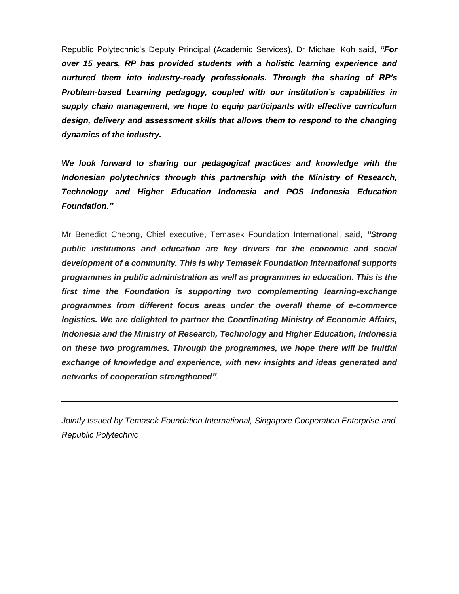Republic Polytechnic's Deputy Principal (Academic Services), Dr Michael Koh said, *"For over 15 years, RP has provided students with a holistic learning experience and nurtured them into industry-ready professionals. Through the sharing of RP's Problem-based Learning pedagogy, coupled with our institution's capabilities in supply chain management, we hope to equip participants with effective curriculum design, delivery and assessment skills that allows them to respond to the changing dynamics of the industry.* 

*We look forward to sharing our pedagogical practices and knowledge with the Indonesian polytechnics through this partnership with the Ministry of Research, Technology and Higher Education Indonesia and POS Indonesia Education Foundation."*

Mr Benedict Cheong, Chief executive, Temasek Foundation International, said, *"Strong public institutions and education are key drivers for the economic and social development of a community. This is why Temasek Foundation International supports programmes in public administration as well as programmes in education. This is the first time the Foundation is supporting two complementing learning-exchange programmes from different focus areas under the overall theme of e-commerce logistics. We are delighted to partner the Coordinating Ministry of Economic Affairs, Indonesia and the Ministry of Research, Technology and Higher Education, Indonesia on these two programmes. Through the programmes, we hope there will be fruitful exchange of knowledge and experience, with new insights and ideas generated and networks of cooperation strengthened".*

*Jointly Issued by Temasek Foundation International, Singapore Cooperation Enterprise and Republic Polytechnic*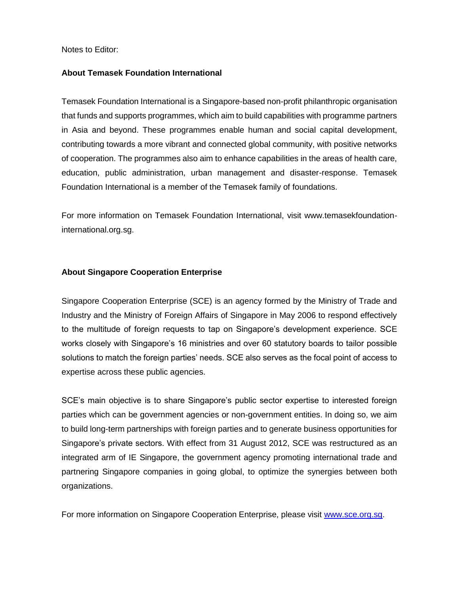Notes to Editor:

## **About Temasek Foundation International**

Temasek Foundation International is a Singapore-based non-profit philanthropic organisation that funds and supports programmes, which aim to build capabilities with programme partners in Asia and beyond. These programmes enable human and social capital development, contributing towards a more vibrant and connected global community, with positive networks of cooperation. The programmes also aim to enhance capabilities in the areas of health care, education, public administration, urban management and disaster-response. Temasek Foundation International is a member of the Temasek family of foundations.

For more information on Temasek Foundation International, visit www.temasekfoundationinternational.org.sg.

#### **About Singapore Cooperation Enterprise**

Singapore Cooperation Enterprise (SCE) is an agency formed by the Ministry of Trade and Industry and the Ministry of Foreign Affairs of Singapore in May 2006 to respond effectively to the multitude of foreign requests to tap on Singapore's development experience. SCE works closely with Singapore's 16 ministries and over 60 statutory boards to tailor possible solutions to match the foreign parties' needs. SCE also serves as the focal point of access to expertise across these public agencies.

SCE's main objective is to share Singapore's public sector expertise to interested foreign parties which can be government agencies or non-government entities. In doing so, we aim to build long-term partnerships with foreign parties and to generate business opportunities for Singapore's private sectors. With effect from 31 August 2012, SCE was restructured as an integrated arm of IE Singapore, the government agency promoting international trade and partnering Singapore companies in going global, to optimize the synergies between both organizations.

For more information on Singapore Cooperation Enterprise, please visit [www.sce.org.sg.](http://www.sce.org.sg/)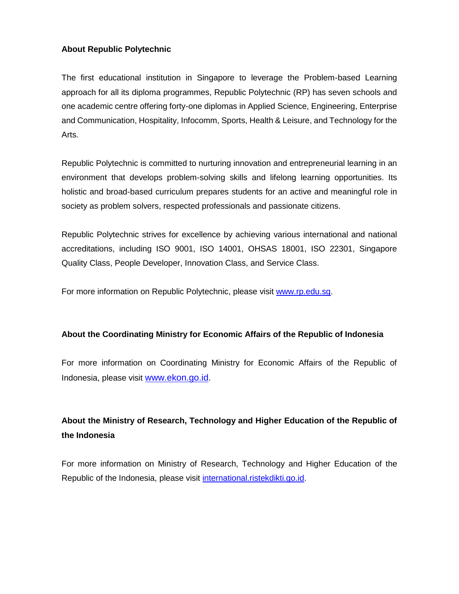# **About Republic Polytechnic**

The first educational institution in Singapore to leverage the Problem-based Learning approach for all its diploma programmes, Republic Polytechnic (RP) has seven schools and one academic centre offering forty-one diplomas in Applied Science, Engineering, Enterprise and Communication, Hospitality, Infocomm, Sports, Health & Leisure, and Technology for the Arts.

Republic Polytechnic is committed to nurturing innovation and entrepreneurial learning in an environment that develops problem-solving skills and lifelong learning opportunities. Its holistic and broad-based curriculum prepares students for an active and meaningful role in society as problem solvers, respected professionals and passionate citizens.

Republic Polytechnic strives for excellence by achieving various international and national accreditations, including ISO 9001, ISO 14001, OHSAS 18001, ISO 22301, Singapore Quality Class, People Developer, Innovation Class, and Service Class.

For more information on Republic Polytechnic, please visit [www.rp.edu.sg.](http://www.rp.edu.sg/)

## **About the Coordinating Ministry for Economic Affairs of the Republic of Indonesia**

For more information on Coordinating Ministry for Economic Affairs of the Republic of Indonesia, please visit www.ekon.go.id.

# **About the Ministry of Research, Technology and Higher Education of the Republic of the Indonesia**

For more information on Ministry of Research, Technology and Higher Education of the Republic of the Indonesia, please visit international.ristekdikti.go.id.